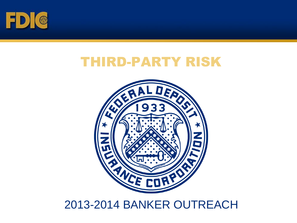

## THIRD-PARTY RISK



### 2013-2014 BANKER OUTREACH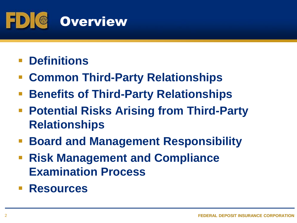

## **Definitions**

- **Common Third-Party Relationships**
- **Benefits of Third-Party Relationships**
- **Potential Risks Arising from Third-Party Relationships**
- **Board and Management Responsibility**
- **Risk Management and Compliance Examination Process**
- **Resources**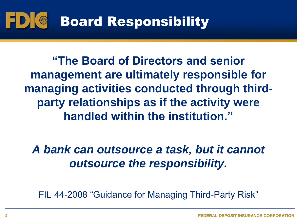#### Board Responsibility  $1$ D) ( $\circ$

**"The Board of Directors and senior management are ultimately responsible for managing activities conducted through thirdparty relationships as if the activity were handled within the institution."** 

*A bank can outsource a task, but it cannot outsource the responsibility.*

FIL 44-2008 "Guidance for Managing Third-Party Risk"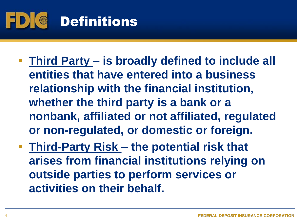

- **Third Party – is broadly defined to include all entities that have entered into a business relationship with the financial institution, whether the third party is a bank or a nonbank, affiliated or not affiliated, regulated or non-regulated, or domestic or foreign.**
- **Third-Party Risk – the potential risk that arises from financial institutions relying on outside parties to perform services or activities on their behalf.**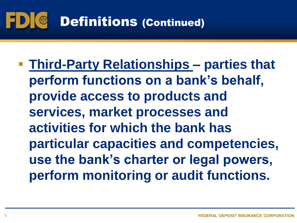

 **Third-Party Relationships – parties that perform functions on a bank's behalf, provide access to products and services, market processes and activities for which the bank has particular capacities and competencies, use the bank's charter or legal powers, perform monitoring or audit functions.**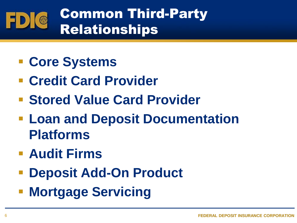#### Common Third-Party  $\bullet$ ED) Relationships

- **Core Systems**
- **Credit Card Provider**
- **Stored Value Card Provider**
- **Loan and Deposit Documentation Platforms**
- **Audit Firms**
- **Deposit Add-On Product**
- **Mortgage Servicing**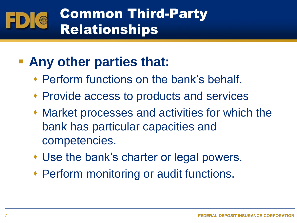# Common Third-Party Relationships

## **Any other parties that:**

- Perform functions on the bank's behalf.
- Provide access to products and services
- Market processes and activities for which the bank has particular capacities and competencies.
- Use the bank's charter or legal powers.
- Perform monitoring or audit functions.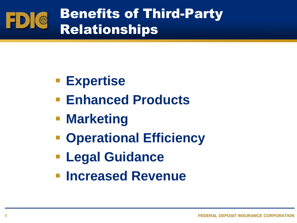

- **Expertise**
- **Enhanced Products**
- **Marketing**
- **Operational Efficiency**
- **Legal Guidance**
- **Increased Revenue**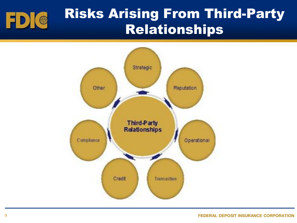

## Risks Arising From Third-Party Relationships

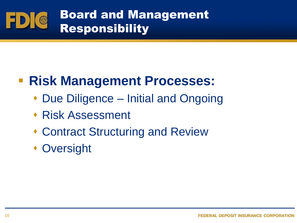

## **Risk Management Processes:**

- ◆ Due Diligence Initial and Ongoing
- Risk Assessment
- Contract Structuring and Review
- Oversight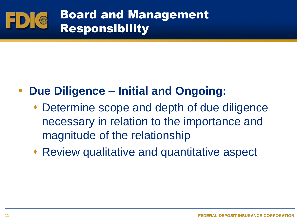

## **Due Diligence – Initial and Ongoing:**

- Determine scope and depth of due diligence necessary in relation to the importance and magnitude of the relationship
- Review qualitative and quantitative aspect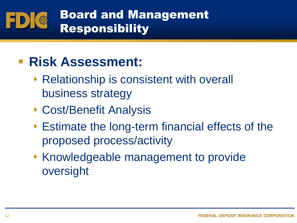#### Board and Management  $\bigcirc$ Responsibility

## **Risk Assessment:**

- Relationship is consistent with overall business strategy
- Cost/Benefit Analysis
- Estimate the long-term financial effects of the proposed process/activity
- Knowledgeable management to provide oversight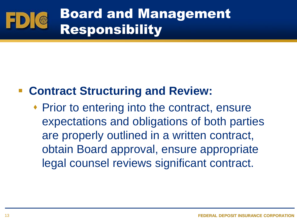# Board and Management Responsibility

### **Contract Structuring and Review:**

◆ Prior to entering into the contract, ensure expectations and obligations of both parties are properly outlined in a written contract, obtain Board approval, ensure appropriate legal counsel reviews significant contract.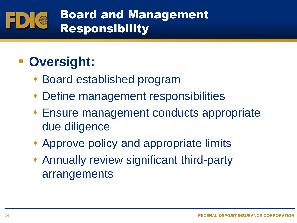#### Board and Management  $\odot$ Responsibility

## **- Oversight:**

- Board established program
- Define management responsibilities
- Ensure management conducts appropriate due diligence
- Approve policy and appropriate limits
- Annually review significant third-party arrangements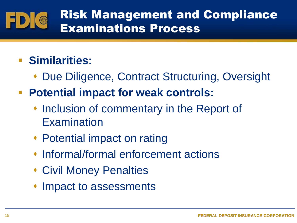#### Risk Management and Compliance  $\bullet$ Examinations Process

## **Similarities:**

- ◆ Due Diligence, Contract Structuring, Oversight
- **Potential impact for weak controls:**
	- **Inclusion of commentary in the Report of Examination**
	- Potential impact on rating
	- Informal/formal enforcement actions
	- Civil Money Penalties
	- Impact to assessments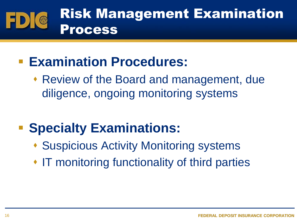

## **Examination Procedures:**

 Review of the Board and management, due diligence, ongoing monitoring systems

# **F** Specialty Examinations:

- Suspicious Activity Monitoring systems
- IT monitoring functionality of third parties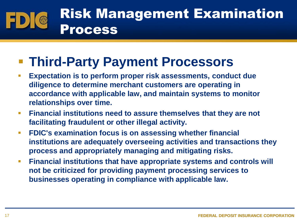## Risk Management Examination Process

## **Third-Party Payment Processors**

- **Expectation is to perform proper risk assessments, conduct due diligence to determine merchant customers are operating in accordance with applicable law, and maintain systems to monitor relationships over time.**
- **Financial institutions need to assure themselves that they are not facilitating fraudulent or other illegal activity.**
- **FDIC's examination focus is on assessing whether financial institutions are adequately overseeing activities and transactions they process and appropriately managing and mitigating risks.**
- **Financial institutions that have appropriate systems and controls will not be criticized for providing payment processing services to businesses operating in compliance with applicable law.**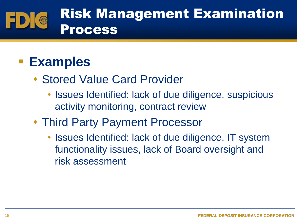

## **Examples**

- Stored Value Card Provider
	- Issues Identified: lack of due diligence, suspicious activity monitoring, contract review
- Third Party Payment Processor
	- Issues Identified: lack of due diligence, IT system functionality issues, lack of Board oversight and risk assessment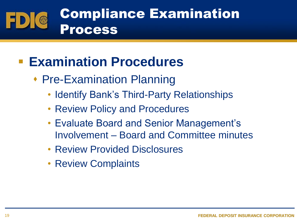

## **Examination Procedures**

- ◆ Pre-Examination Planning
	- Identify Bank's Third-Party Relationships
	- Review Policy and Procedures
	- Evaluate Board and Senior Management's Involvement – Board and Committee minutes
	- Review Provided Disclosures
	- Review Complaints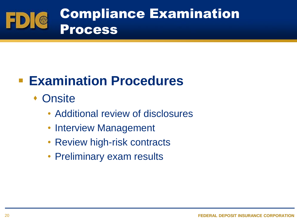

## **Examination Procedures**

- Onsite
	- Additional review of disclosures
	- Interview Management
	- Review high-risk contracts
	- Preliminary exam results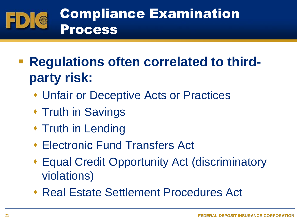

- **Regulations often correlated to thirdparty risk:**
	- Unfair or Deceptive Acts or Practices
	- **\* Truth in Savings**
	- ◆ Truth in Lending
	- Electronic Fund Transfers Act
	- Equal Credit Opportunity Act (discriminatory violations)
	- Real Estate Settlement Procedures Act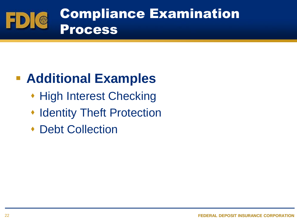

## **Additional Examples**

- ◆ High Interest Checking
- **Indentity Theft Protection**
- Debt Collection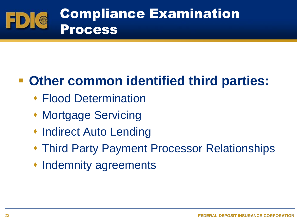

## **Other common identified third parties:**

- Flood Determination
- Mortgage Servicing
- ◆ Indirect Auto Lending
- Third Party Payment Processor Relationships
- Indemnity agreements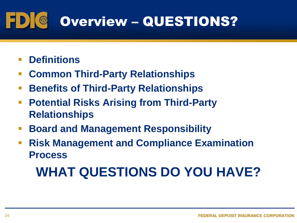#### $\bullet$ Overview – QUESTIONS?

- **Definitions**
- **Common Third-Party Relationships**
- **Benefits of Third-Party Relationships**
- **Potential Risks Arising from Third-Party Relationships**
- **Board and Management Responsibility**
- **Risk Management and Compliance Examination Process**

# **WHAT QUESTIONS DO YOU HAVE?**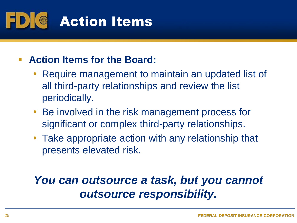

### **Action Items for the Board:**

- Require management to maintain an updated list of all third-party relationships and review the list periodically.
- Be involved in the risk management process for significant or complex third-party relationships.
- Take appropriate action with any relationship that presents elevated risk.

### *You can outsource a task, but you cannot outsource responsibility.*